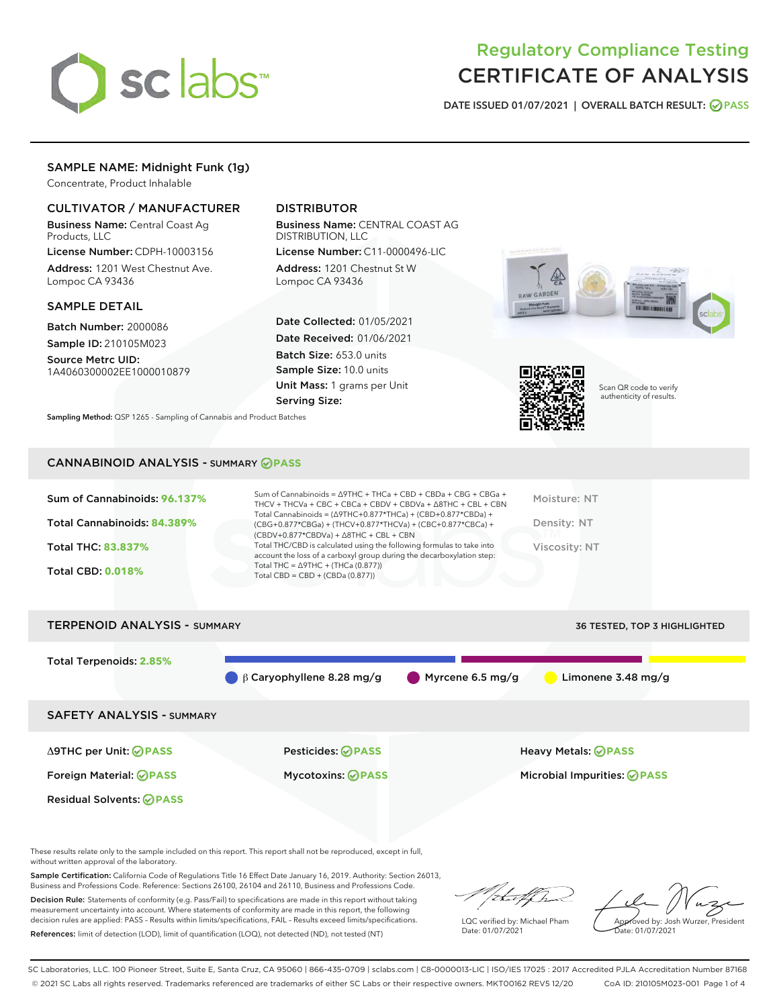

# Regulatory Compliance Testing CERTIFICATE OF ANALYSIS

DATE ISSUED 01/07/2021 | OVERALL BATCH RESULT: @ PASS

## SAMPLE NAME: Midnight Funk (1g)

Concentrate, Product Inhalable

## CULTIVATOR / MANUFACTURER

Business Name: Central Coast Ag Products, LLC

License Number: CDPH-10003156 Address: 1201 West Chestnut Ave. Lompoc CA 93436

#### SAMPLE DETAIL

Batch Number: 2000086 Sample ID: 210105M023

Source Metrc UID: 1A4060300002EE1000010879

## DISTRIBUTOR

Business Name: CENTRAL COAST AG DISTRIBUTION, LLC

License Number: C11-0000496-LIC Address: 1201 Chestnut St W Lompoc CA 93436

Date Collected: 01/05/2021 Date Received: 01/06/2021 Batch Size: 653.0 units Sample Size: 10.0 units Unit Mass: 1 grams per Unit Serving Size:

Sampling Method: QSP 1265 - Sampling of Cannabis and Product Batches





Scan QR code to verify authenticity of results.

#### CANNABINOID ANALYSIS - SUMMARY **PASS**

| Sum of Cannabinoids: 96.137%<br>Total Cannabinoids: 84.389%<br><b>Total THC: 83.837%</b> | Sum of Cannabinoids = $\triangle$ 9THC + THCa + CBD + CBDa + CBG + CBGa +<br>THCV + THCVa + CBC + CBCa + CBDV + CBDVa + $\land$ 8THC + CBL + CBN<br>Total Cannabinoids = $(\Delta$ 9THC+0.877*THCa) + (CBD+0.877*CBDa) +<br>(CBG+0.877*CBGa) + (THCV+0.877*THCVa) + (CBC+0.877*CBCa) +<br>$(CBDV+0.877*CBDVa) + \Delta 8THC + CBL + CBN$<br>Total THC/CBD is calculated using the following formulas to take into<br>account the loss of a carboxyl group during the decarboxylation step: | Moisture: NT<br>Density: NT<br>Viscosity: NT |
|------------------------------------------------------------------------------------------|--------------------------------------------------------------------------------------------------------------------------------------------------------------------------------------------------------------------------------------------------------------------------------------------------------------------------------------------------------------------------------------------------------------------------------------------------------------------------------------------|----------------------------------------------|
| <b>Total CBD: 0.018%</b>                                                                 | Total THC = $\triangle$ 9THC + (THCa (0.877))<br>Total CBD = $CBD + (CBDa (0.877))$                                                                                                                                                                                                                                                                                                                                                                                                        |                                              |

TERPENOID ANALYSIS - SUMMARY 36 TESTED, TOP 3 HIGHLIGHTED

| Total Terpenoids: 2.85%          | $\beta$ Caryophyllene 8.28 mg/g | Myrcene 6.5 mg/g<br>Limonene $3.48 \text{ mg/g}$ |
|----------------------------------|---------------------------------|--------------------------------------------------|
| <b>SAFETY ANALYSIS - SUMMARY</b> |                                 |                                                  |
| ∆9THC per Unit: ⊘PASS            | <b>Pesticides: ⊘ PASS</b>       | <b>Heavy Metals: ⊘ PASS</b>                      |
| Foreign Material: <b>⊘ PASS</b>  | <b>Mycotoxins: ⊘PASS</b>        | Microbial Impurities: <b>OPASS</b>               |
| <b>Residual Solvents: ⊘PASS</b>  |                                 |                                                  |

These results relate only to the sample included on this report. This report shall not be reproduced, except in full, without written approval of the laboratory.

Sample Certification: California Code of Regulations Title 16 Effect Date January 16, 2019. Authority: Section 26013, Business and Professions Code. Reference: Sections 26100, 26104 and 26110, Business and Professions Code.

Decision Rule: Statements of conformity (e.g. Pass/Fail) to specifications are made in this report without taking measurement uncertainty into account. Where statements of conformity are made in this report, the following decision rules are applied: PASS – Results within limits/specifications, FAIL – Results exceed limits/specifications. References: limit of detection (LOD), limit of quantification (LOQ), not detected (ND), not tested (NT)

that f h

LQC verified by: Michael Pham Date: 01/07/2021

Approved by: Josh Wurzer, President Date: 01/07/2021

SC Laboratories, LLC. 100 Pioneer Street, Suite E, Santa Cruz, CA 95060 | 866-435-0709 | sclabs.com | C8-0000013-LIC | ISO/IES 17025 : 2017 Accredited PJLA Accreditation Number 87168 © 2021 SC Labs all rights reserved. Trademarks referenced are trademarks of either SC Labs or their respective owners. MKT00162 REV5 12/20 CoA ID: 210105M023-001 Page 1 of 4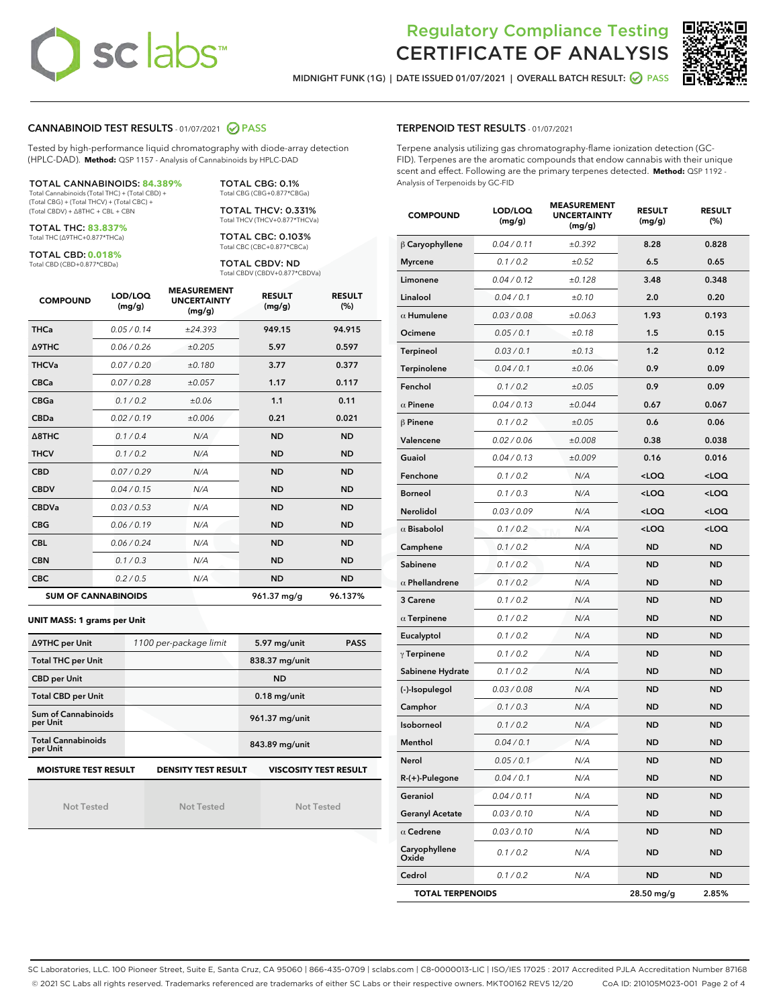# **sclabs**™

# Regulatory Compliance Testing CERTIFICATE OF ANALYSIS

MIDNIGHT FUNK (1G) | DATE ISSUED 01/07/2021 | OVERALL BATCH RESULT: **⊘** PASS



## CANNABINOID TEST RESULTS - 01/07/2021 2 PASS

Tested by high-performance liquid chromatography with diode-array detection (HPLC-DAD). **Method:** QSP 1157 - Analysis of Cannabinoids by HPLC-DAD

TOTAL CANNABINOIDS: **84.389%** Total Cannabinoids (Total THC) + (Total CBD) + (Total CBG) + (Total THCV) + (Total CBC) +

(Total CBDV) + ∆8THC + CBL + CBN

TOTAL THC: **83.837%** Total THC (∆9THC+0.877\*THCa)

TOTAL CBD: **0.018%**

Total CBD (CBD+0.877\*CBDa)

Total CBG (CBG+0.877\*CBGa) TOTAL THCV: 0.331% Total THCV (THCV+0.877\*THCVa)

TOTAL CBG: 0.1%

TOTAL CBC: 0.103% Total CBC (CBC+0.877\*CBCa)

TOTAL CBDV: ND Total CBDV (CBDV+0.877\*CBDVa)

| <b>COMPOUND</b>  | LOD/LOQ<br>(mg/g)          | <b>MEASUREMENT</b><br><b>UNCERTAINTY</b><br>(mg/g) | <b>RESULT</b><br>(mg/g) | <b>RESULT</b><br>(%) |
|------------------|----------------------------|----------------------------------------------------|-------------------------|----------------------|
| <b>THCa</b>      | 0.05/0.14                  | ±24.393                                            | 949.15                  | 94.915               |
| <b>A9THC</b>     | 0.06 / 0.26                | ±0.205                                             | 5.97                    | 0.597                |
| <b>THCVa</b>     | 0.07/0.20                  | ±0.180                                             | 3.77                    | 0.377                |
| <b>CBCa</b>      | 0.07/0.28                  | ±0.057                                             | 1.17                    | 0.117                |
| <b>CBGa</b>      | 0.1 / 0.2                  | ±0.06                                              | 1.1                     | 0.11                 |
| <b>CBDa</b>      | 0.02/0.19                  | ±0.006                                             | 0.21                    | 0.021                |
| $\triangle$ 8THC | 0.1 / 0.4                  | N/A                                                | <b>ND</b>               | <b>ND</b>            |
| <b>THCV</b>      | 0.1/0.2                    | N/A                                                | <b>ND</b>               | <b>ND</b>            |
| <b>CBD</b>       | 0.07/0.29                  | N/A                                                | <b>ND</b>               | <b>ND</b>            |
| <b>CBDV</b>      | 0.04/0.15                  | N/A                                                | <b>ND</b>               | <b>ND</b>            |
| <b>CBDVa</b>     | 0.03/0.53                  | N/A                                                | <b>ND</b>               | <b>ND</b>            |
| <b>CBG</b>       | 0.06/0.19                  | N/A                                                | <b>ND</b>               | <b>ND</b>            |
| <b>CBL</b>       | 0.06 / 0.24                | N/A                                                | <b>ND</b>               | <b>ND</b>            |
| <b>CBN</b>       | 0.1/0.3                    | N/A                                                | <b>ND</b>               | <b>ND</b>            |
| <b>CBC</b>       | 0.2 / 0.5                  | N/A                                                | <b>ND</b>               | <b>ND</b>            |
|                  | <b>SUM OF CANNABINOIDS</b> |                                                    | 961.37 mg/g             | 96.137%              |

#### **UNIT MASS: 1 grams per Unit**

| ∆9THC per Unit                        | 1100 per-package limit     | 5.97 mg/unit<br><b>PASS</b>  |
|---------------------------------------|----------------------------|------------------------------|
| <b>Total THC per Unit</b>             |                            | 838.37 mg/unit               |
| <b>CBD per Unit</b>                   |                            | <b>ND</b>                    |
| <b>Total CBD per Unit</b>             |                            | $0.18$ mg/unit               |
| Sum of Cannabinoids<br>per Unit       |                            | 961.37 mg/unit               |
| <b>Total Cannabinoids</b><br>per Unit |                            | 843.89 mg/unit               |
| <b>MOISTURE TEST RESULT</b>           | <b>DENSITY TEST RESULT</b> | <b>VISCOSITY TEST RESULT</b> |

Not Tested

Not Tested

Not Tested

#### TERPENOID TEST RESULTS - 01/07/2021

Terpene analysis utilizing gas chromatography-flame ionization detection (GC-FID). Terpenes are the aromatic compounds that endow cannabis with their unique scent and effect. Following are the primary terpenes detected. **Method:** QSP 1192 - Analysis of Terpenoids by GC-FID

| <b>COMPOUND</b>         | LOD/LOQ<br>(mg/g) | <b>MEASUREMENT</b><br><b>UNCERTAINTY</b><br>(mg/g) | <b>RESULT</b><br>(mg/g)                         | <b>RESULT</b><br>(%) |
|-------------------------|-------------------|----------------------------------------------------|-------------------------------------------------|----------------------|
| $\beta$ Caryophyllene   | 0.04 / 0.11       | ±0.392                                             | 8.28                                            | 0.828                |
| <b>Myrcene</b>          | 0.1 / 0.2         | ±0.52                                              | 6.5                                             | 0.65                 |
| Limonene                | 0.04 / 0.12       | ±0.128                                             | 3.48                                            | 0.348                |
| Linalool                | 0.04 / 0.1        | ±0.10                                              | 2.0                                             | 0.20                 |
| $\alpha$ Humulene       | 0.03 / 0.08       | ±0.063                                             | 1.93                                            | 0.193                |
| Ocimene                 | 0.05 / 0.1        | ±0.18                                              | 1.5                                             | 0.15                 |
| Terpineol               | 0.03/0.1          | ±0.13                                              | 1.2                                             | 0.12                 |
| Terpinolene             | 0.04 / 0.1        | ±0.06                                              | 0.9                                             | 0.09                 |
| Fenchol                 | 0.1 / 0.2         | ±0.05                                              | 0.9                                             | 0.09                 |
| $\alpha$ Pinene         | 0.04 / 0.13       | ±0.044                                             | 0.67                                            | 0.067                |
| $\beta$ Pinene          | 0.1 / 0.2         | ±0.05                                              | 0.6                                             | 0.06                 |
| Valencene               | 0.02 / 0.06       | ±0.008                                             | 0.38                                            | 0.038                |
| Guaiol                  | 0.04 / 0.13       | ±0.009                                             | 0.16                                            | 0.016                |
| Fenchone                | 0.1 / 0.2         | N/A                                                | <loq< td=""><td><loq< td=""></loq<></td></loq<> | <loq< td=""></loq<>  |
| Borneol                 | 0.1 / 0.3         | N/A                                                | $<$ LOQ                                         | <loq< td=""></loq<>  |
| Nerolidol               | 0.03 / 0.09       | N/A                                                | <loq< td=""><td><loq< td=""></loq<></td></loq<> | <loq< td=""></loq<>  |
| $\alpha$ Bisabolol      | 0.1 / 0.2         | N/A                                                | $<$ LOQ                                         | <loq< th=""></loq<>  |
| Camphene                | 0.1 / 0.2         | N/A                                                | <b>ND</b>                                       | <b>ND</b>            |
| Sabinene                | 0.1 / 0.2         | N/A                                                | ND                                              | ND                   |
| $\alpha$ Phellandrene   | 0.1 / 0.2         | N/A                                                | <b>ND</b>                                       | <b>ND</b>            |
| 3 Carene                | 0.1 / 0.2         | N/A                                                | ND                                              | <b>ND</b>            |
| $\alpha$ Terpinene      | 0.1 / 0.2         | N/A                                                | ND                                              | <b>ND</b>            |
| Eucalyptol              | 0.1 / 0.2         | N/A                                                | <b>ND</b>                                       | <b>ND</b>            |
| $\gamma$ Terpinene      | 0.1 / 0.2         | N/A                                                | <b>ND</b>                                       | <b>ND</b>            |
| Sabinene Hydrate        | 0.1 / 0.2         | N/A                                                | ND                                              | ND                   |
| (-)-Isopulegol          | 0.03 / 0.08       | N/A                                                | <b>ND</b>                                       | <b>ND</b>            |
| Camphor                 | 0.1 / 0.3         | N/A                                                | ND                                              | <b>ND</b>            |
| Isoborneol              | 0.1 / 0.2         | N/A                                                | ND                                              | ND                   |
| Menthol                 | 0.04 / 0.1        | N/A                                                | <b>ND</b>                                       | <b>ND</b>            |
| Nerol                   | 0.05 / 0.1        | N/A                                                | ND                                              | <b>ND</b>            |
| R-(+)-Pulegone          | 0.04 / 0.1        | N/A                                                | ND                                              | ND                   |
| Geraniol                | 0.04 / 0.11       | N/A                                                | <b>ND</b>                                       | ND                   |
| <b>Geranyl Acetate</b>  | 0.03 / 0.10       | N/A                                                | ND                                              | ND                   |
| $\alpha$ Cedrene        | 0.03 / 0.10       | N/A                                                | ND                                              | ND                   |
| Caryophyllene<br>Oxide  | 0.1 / 0.2         | N/A                                                | <b>ND</b>                                       | <b>ND</b>            |
| Cedrol                  | 0.1 / 0.2         | N/A                                                | <b>ND</b>                                       | ND                   |
| <b>TOTAL TERPENOIDS</b> |                   |                                                    | 28.50 mg/g                                      | 2.85%                |

SC Laboratories, LLC. 100 Pioneer Street, Suite E, Santa Cruz, CA 95060 | 866-435-0709 | sclabs.com | C8-0000013-LIC | ISO/IES 17025 : 2017 Accredited PJLA Accreditation Number 87168 © 2021 SC Labs all rights reserved. Trademarks referenced are trademarks of either SC Labs or their respective owners. MKT00162 REV5 12/20 CoA ID: 210105M023-001 Page 2 of 4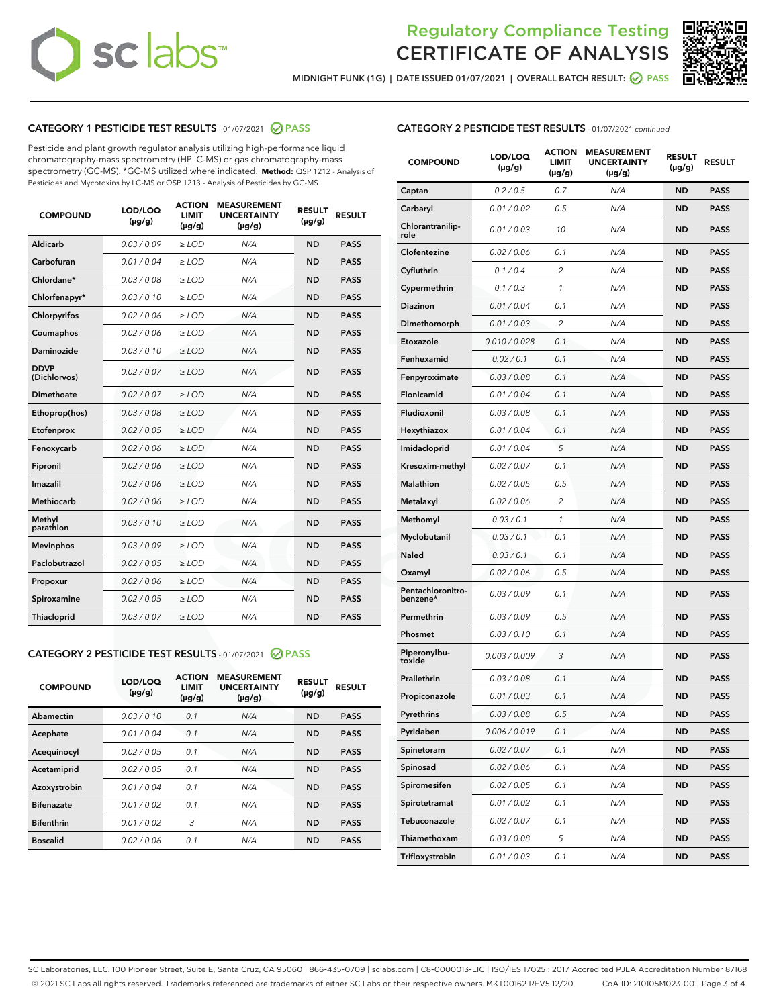# sclabs<sup>®</sup>

# Regulatory Compliance Testing CERTIFICATE OF ANALYSIS



MIDNIGHT FUNK (1G) | DATE ISSUED 01/07/2021 | OVERALL BATCH RESULT: @ PASS

## CATEGORY 1 PESTICIDE TEST RESULTS - 01/07/2021 @ PASS

Pesticide and plant growth regulator analysis utilizing high-performance liquid chromatography-mass spectrometry (HPLC-MS) or gas chromatography-mass spectrometry (GC-MS). \*GC-MS utilized where indicated. **Method:** QSP 1212 - Analysis of Pesticides and Mycotoxins by LC-MS or QSP 1213 - Analysis of Pesticides by GC-MS

| <b>COMPOUND</b>             | LOD/LOQ<br>$(\mu g/g)$ | <b>ACTION</b><br><b>LIMIT</b><br>$(\mu g/g)$ | <b>MEASUREMENT</b><br><b>UNCERTAINTY</b><br>$(\mu g/g)$ | <b>RESULT</b><br>$(\mu g/g)$ | <b>RESULT</b> |
|-----------------------------|------------------------|----------------------------------------------|---------------------------------------------------------|------------------------------|---------------|
| Aldicarb                    | 0.03/0.09              | $\ge$ LOD                                    | N/A                                                     | <b>ND</b>                    | <b>PASS</b>   |
| Carbofuran                  | 0.01 / 0.04            | ≥ LOD                                        | N/A                                                     | <b>ND</b>                    | <b>PASS</b>   |
| Chlordane*                  | 0.03 / 0.08            | ≥ LOD                                        | N/A                                                     | <b>ND</b>                    | <b>PASS</b>   |
| Chlorfenapyr*               | 0.03/0.10              | $>$ LOD                                      | N/A                                                     | <b>ND</b>                    | <b>PASS</b>   |
| Chlorpyrifos                | 0.02 / 0.06            | $\geq$ LOD                                   | N/A                                                     | <b>ND</b>                    | <b>PASS</b>   |
| Coumaphos                   | 0.02 / 0.06            | $\ge$ LOD                                    | N/A                                                     | <b>ND</b>                    | <b>PASS</b>   |
| Daminozide                  | 0.03/0.10              | $\geq$ LOD                                   | N/A                                                     | <b>ND</b>                    | <b>PASS</b>   |
| <b>DDVP</b><br>(Dichlorvos) | 0.02 / 0.07            | $\geq$ LOD                                   | N/A                                                     | <b>ND</b>                    | <b>PASS</b>   |
| <b>Dimethoate</b>           | 0.02 / 0.07            | $\geq$ LOD                                   | N/A                                                     | <b>ND</b>                    | <b>PASS</b>   |
| Ethoprop(hos)               | 0.03 / 0.08            | $\ge$ LOD                                    | N/A                                                     | <b>ND</b>                    | <b>PASS</b>   |
| Etofenprox                  | 0.02 / 0.05            | $>$ LOD                                      | N/A                                                     | <b>ND</b>                    | <b>PASS</b>   |
| Fenoxycarb                  | 0.02 / 0.06            | $\geq$ LOD                                   | N/A                                                     | <b>ND</b>                    | <b>PASS</b>   |
| Fipronil                    | 0.02 / 0.06            | $>$ LOD                                      | N/A                                                     | <b>ND</b>                    | <b>PASS</b>   |
| Imazalil                    | 0.02 / 0.06            | $\geq$ LOD                                   | N/A                                                     | <b>ND</b>                    | <b>PASS</b>   |
| Methiocarb                  | 0.02 / 0.06            | ≥ LOD                                        | N/A                                                     | <b>ND</b>                    | <b>PASS</b>   |
| Methyl<br>parathion         | 0.03/0.10              | $\geq$ LOD                                   | N/A                                                     | <b>ND</b>                    | <b>PASS</b>   |
| <b>Mevinphos</b>            | 0.03/0.09              | $\geq$ LOD                                   | N/A                                                     | <b>ND</b>                    | <b>PASS</b>   |
| Paclobutrazol               | 0.02 / 0.05            | $\geq$ LOD                                   | N/A                                                     | <b>ND</b>                    | <b>PASS</b>   |
| Propoxur                    | 0.02 / 0.06            | ≥ LOD                                        | N/A                                                     | <b>ND</b>                    | <b>PASS</b>   |
| Spiroxamine                 | 0.02 / 0.05            | $\geq$ LOD                                   | N/A                                                     | <b>ND</b>                    | <b>PASS</b>   |
| <b>Thiacloprid</b>          | 0.03 / 0.07            | $\ge$ LOD                                    | N/A                                                     | <b>ND</b>                    | <b>PASS</b>   |

## CATEGORY 2 PESTICIDE TEST RESULTS - 01/07/2021 @ PASS

| <b>COMPOUND</b>   | LOD/LOQ<br>$(\mu g/g)$ | <b>ACTION</b><br><b>LIMIT</b><br>$(\mu g/g)$ | <b>MEASUREMENT</b><br><b>UNCERTAINTY</b><br>$(\mu g/g)$ | <b>RESULT</b><br>$(\mu g/g)$ | <b>RESULT</b> |
|-------------------|------------------------|----------------------------------------------|---------------------------------------------------------|------------------------------|---------------|
| Abamectin         | 0.03/0.10              | 0.1                                          | N/A                                                     | <b>ND</b>                    | <b>PASS</b>   |
| Acephate          | 0.01/0.04              | 0.1                                          | N/A                                                     | <b>ND</b>                    | <b>PASS</b>   |
| Acequinocyl       | 0.02/0.05              | 0.1                                          | N/A                                                     | <b>ND</b>                    | <b>PASS</b>   |
| Acetamiprid       | 0.02/0.05              | 0.1                                          | N/A                                                     | <b>ND</b>                    | <b>PASS</b>   |
| Azoxystrobin      | 0.01/0.04              | 0.1                                          | N/A                                                     | <b>ND</b>                    | <b>PASS</b>   |
| <b>Bifenazate</b> | 0.01/0.02              | 0.1                                          | N/A                                                     | <b>ND</b>                    | <b>PASS</b>   |
| <b>Bifenthrin</b> | 0.01/0.02              | 3                                            | N/A                                                     | <b>ND</b>                    | <b>PASS</b>   |
| <b>Boscalid</b>   | 0.02 / 0.06            | 0.1                                          | N/A                                                     | <b>ND</b>                    | <b>PASS</b>   |

| <b>CATEGORY 2 PESTICIDE TEST RESULTS</b> - 01/07/2021 continued |
|-----------------------------------------------------------------|
|                                                                 |

| <b>COMPOUND</b>               | LOD/LOQ<br>$(\mu g/g)$ | <b>ACTION</b><br>LIMIT<br>$(\mu g/g)$ | <b>MEASUREMENT</b><br><b>UNCERTAINTY</b><br>$(\mu g/g)$ | <b>RESULT</b><br>(µg/g) | <b>RESULT</b> |
|-------------------------------|------------------------|---------------------------------------|---------------------------------------------------------|-------------------------|---------------|
| Captan                        | 0.2 / 0.5              | 0.7                                   | N/A                                                     | ND                      | <b>PASS</b>   |
| Carbaryl                      | 0.01 / 0.02            | 0.5                                   | N/A                                                     | ND                      | <b>PASS</b>   |
| Chlorantranilip-<br>role      | 0.01 / 0.03            | 10                                    | N/A                                                     | ND                      | <b>PASS</b>   |
| Clofentezine                  | 0.02 / 0.06            | 0.1                                   | N/A                                                     | ND                      | <b>PASS</b>   |
| Cyfluthrin                    | 0.1 / 0.4              | 2                                     | N/A                                                     | ND                      | <b>PASS</b>   |
| Cypermethrin                  | 0.1 / 0.3              | 1                                     | N/A                                                     | ND                      | PASS          |
| <b>Diazinon</b>               | 0.01 / 0.04            | 0.1                                   | N/A                                                     | ND                      | <b>PASS</b>   |
| Dimethomorph                  | 0.01 / 0.03            | 2                                     | N/A                                                     | ND                      | <b>PASS</b>   |
| Etoxazole                     | 0.010 / 0.028          | 0.1                                   | N/A                                                     | <b>ND</b>               | PASS          |
| Fenhexamid                    | 0.02 / 0.1             | 0.1                                   | N/A                                                     | ND                      | <b>PASS</b>   |
| Fenpyroximate                 | 0.03 / 0.08            | 0.1                                   | N/A                                                     | ND                      | <b>PASS</b>   |
| Flonicamid                    | 0.01 / 0.04            | 0.1                                   | N/A                                                     | ND                      | PASS          |
| Fludioxonil                   | 0.03 / 0.08            | 0.1                                   | N/A                                                     | ND                      | <b>PASS</b>   |
| Hexythiazox                   | 0.01 / 0.04            | 0.1                                   | N/A                                                     | ND                      | <b>PASS</b>   |
| Imidacloprid                  | 0.01/0.04              | 5                                     | N/A                                                     | <b>ND</b>               | <b>PASS</b>   |
| Kresoxim-methyl               | 0.02 / 0.07            | 0.1                                   | N/A                                                     | ND                      | <b>PASS</b>   |
| <b>Malathion</b>              | 0.02 / 0.05            | 0.5                                   | N/A                                                     | ND                      | <b>PASS</b>   |
| Metalaxyl                     | 0.02 / 0.06            | 2                                     | N/A                                                     | ND                      | PASS          |
| Methomyl                      | 0.03 / 0.1             | 1                                     | N/A                                                     | ND                      | <b>PASS</b>   |
| Myclobutanil                  | 0.03 / 0.1             | 0.1                                   | N/A                                                     | ND                      | <b>PASS</b>   |
| Naled                         | 0.03/0.1               | 0.1                                   | N/A                                                     | <b>ND</b>               | PASS          |
| Oxamyl                        | 0.02 / 0.06            | 0.5                                   | N/A                                                     | ND                      | <b>PASS</b>   |
| Pentachloronitro-<br>benzene* | 0.03 / 0.09            | 0.1                                   | N/A                                                     | ND                      | <b>PASS</b>   |
| Permethrin                    | 0.03 / 0.09            | 0.5                                   | N/A                                                     | ND                      | <b>PASS</b>   |
| Phosmet                       | 0.03/0.10              | 0.1                                   | N/A                                                     | ND                      | <b>PASS</b>   |
| Piperonylbu-<br>toxide        | 0.003 / 0.009          | 3                                     | N/A                                                     | ND                      | <b>PASS</b>   |
| Prallethrin                   | 0.03 / 0.08            | 0.1                                   | N/A                                                     | ND                      | PASS          |
| Propiconazole                 | 0.01 / 0.03            | 0.1                                   | N/A                                                     | ND                      | <b>PASS</b>   |
| Pyrethrins                    | 0.03 / 0.08            | 0.5                                   | N/A                                                     | ND                      | PASS          |
| Pyridaben                     | 0.006 / 0.019          | 0.1                                   | N/A                                                     | ND                      | <b>PASS</b>   |
| Spinetoram                    | 0.02 / 0.07            | 0.1                                   | N/A                                                     | ND                      | <b>PASS</b>   |
| Spinosad                      | 0.02 / 0.06            | 0.1                                   | N/A                                                     | ND                      | PASS          |
| Spiromesifen                  | 0.02 / 0.05            | 0.1                                   | N/A                                                     | ND                      | <b>PASS</b>   |
| Spirotetramat                 | 0.01 / 0.02            | 0.1                                   | N/A                                                     | ND                      | PASS          |
| Tebuconazole                  | 0.02 / 0.07            | 0.1                                   | N/A                                                     | ND                      | PASS          |
| Thiamethoxam                  | 0.03 / 0.08            | 5                                     | N/A                                                     | ND                      | PASS          |
| Trifloxystrobin               | 0.01 / 0.03            | 0.1                                   | N/A                                                     | ND                      | <b>PASS</b>   |